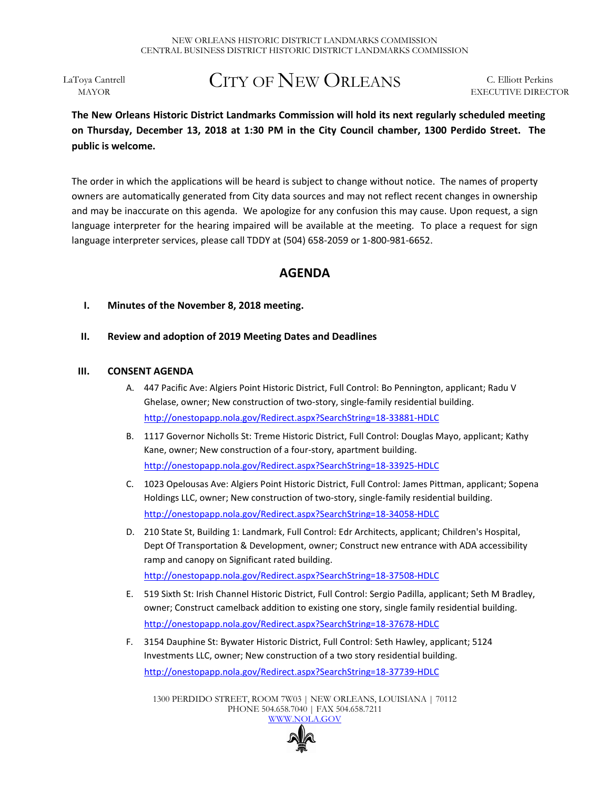LaToya Cantrell MAYOR

# CITY OF NEW ORLEANS

C. Elliott Perkins EXECUTIVE DIRECTOR

# **The New Orleans Historic District Landmarks Commission will hold its next regularly scheduled meeting on Thursday, December 13, 2018 at 1:30 PM in the City Council chamber, 1300 Perdido Street. The public is welcome.**

The order in which the applications will be heard is subject to change without notice. The names of property owners are automatically generated from City data sources and may not reflect recent changes in ownership and may be inaccurate on this agenda. We apologize for any confusion this may cause. Upon request, a sign language interpreter for the hearing impaired will be available at the meeting. To place a request for sign language interpreter services, please call TDDY at (504) 658-2059 or 1-800-981-6652.

## **AGENDA**

- **I. Minutes of the November 8, 2018 meeting.**
- **II. Review and adoption of 2019 Meeting Dates and Deadlines**

### **III. CONSENT AGENDA**

- A. 447 Pacific Ave: Algiers Point Historic District, Full Control: Bo Pennington, applicant; Radu V Ghelase, owner; New construction of two-story, single-family residential building. <http://onestopapp.nola.gov/Redirect.aspx?SearchString=18-33881-HDLC>
- B. 1117 Governor Nicholls St: Treme Historic District, Full Control: Douglas Mayo, applicant; Kathy Kane, owner; New construction of a four-story, apartment building. <http://onestopapp.nola.gov/Redirect.aspx?SearchString=18-33925-HDLC>
- C. 1023 Opelousas Ave: Algiers Point Historic District, Full Control: James Pittman, applicant; Sopena Holdings LLC, owner; New construction of two-story, single-family residential building. <http://onestopapp.nola.gov/Redirect.aspx?SearchString=18-34058-HDLC>
- D. 210 State St, Building 1: Landmark, Full Control: Edr Architects, applicant; Children's Hospital, Dept Of Transportation & Development, owner; Construct new entrance with ADA accessibility ramp and canopy on Significant rated building. <http://onestopapp.nola.gov/Redirect.aspx?SearchString=18-37508-HDLC>
- E. 519 Sixth St: Irish Channel Historic District, Full Control: Sergio Padilla, applicant; Seth M Bradley, owner; Construct camelback addition to existing one story, single family residential building. <http://onestopapp.nola.gov/Redirect.aspx?SearchString=18-37678-HDLC>
- F. 3154 Dauphine St: Bywater Historic District, Full Control: Seth Hawley, applicant; 5124 Investments LLC, owner; New construction of a two story residential building. <http://onestopapp.nola.gov/Redirect.aspx?SearchString=18-37739-HDLC>

1300 PERDIDO STREET, ROOM 7W03 | NEW ORLEANS, LOUISIANA | 70112 PHONE 504.658.7040 | FAX 504.658.7211 [WWW.NOLA.GOV](http://www.nola.gov/)

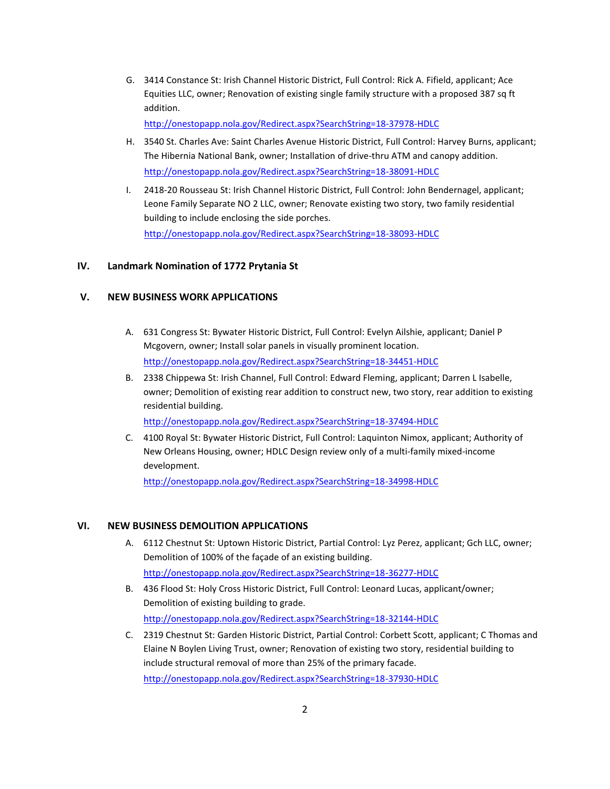G. 3414 Constance St: Irish Channel Historic District, Full Control: Rick A. Fifield, applicant; Ace Equities LLC, owner; Renovation of existing single family structure with a proposed 387 sq ft addition.

<http://onestopapp.nola.gov/Redirect.aspx?SearchString=18-37978-HDLC>

- H. 3540 St. Charles Ave: Saint Charles Avenue Historic District, Full Control: Harvey Burns, applicant; The Hibernia National Bank, owner; Installation of drive-thru ATM and canopy addition. <http://onestopapp.nola.gov/Redirect.aspx?SearchString=18-38091-HDLC>
- I. 2418-20 Rousseau St: Irish Channel Historic District, Full Control: John Bendernagel, applicant; Leone Family Separate NO 2 LLC, owner; Renovate existing two story, two family residential building to include enclosing the side porches. <http://onestopapp.nola.gov/Redirect.aspx?SearchString=18-38093-HDLC>

#### **IV. Landmark Nomination of 1772 Prytania St**

#### **V. NEW BUSINESS WORK APPLICATIONS**

- A. 631 Congress St: Bywater Historic District, Full Control: Evelyn Ailshie, applicant; Daniel P Mcgovern, owner; Install solar panels in visually prominent location. <http://onestopapp.nola.gov/Redirect.aspx?SearchString=18-34451-HDLC>
- B. 2338 Chippewa St: Irish Channel, Full Control: Edward Fleming, applicant; Darren L Isabelle, owner; Demolition of existing rear addition to construct new, two story, rear addition to existing residential building.

<http://onestopapp.nola.gov/Redirect.aspx?SearchString=18-37494-HDLC>

C. 4100 Royal St: Bywater Historic District, Full Control: Laquinton Nimox, applicant; Authority of New Orleans Housing, owner; HDLC Design review only of a multi-family mixed-income development.

<http://onestopapp.nola.gov/Redirect.aspx?SearchString=18-34998-HDLC>

#### **VI. NEW BUSINESS DEMOLITION APPLICATIONS**

- A. 6112 Chestnut St: Uptown Historic District, Partial Control: Lyz Perez, applicant; Gch LLC, owner; Demolition of 100% of the façade of an existing building. <http://onestopapp.nola.gov/Redirect.aspx?SearchString=18-36277-HDLC>
- B. 436 Flood St: Holy Cross Historic District, Full Control: Leonard Lucas, applicant/owner; Demolition of existing building to grade. <http://onestopapp.nola.gov/Redirect.aspx?SearchString=18-32144-HDLC>
- C. 2319 Chestnut St: Garden Historic District, Partial Control: Corbett Scott, applicant; C Thomas and Elaine N Boylen Living Trust, owner; Renovation of existing two story, residential building to include structural removal of more than 25% of the primary facade.

<http://onestopapp.nola.gov/Redirect.aspx?SearchString=18-37930-HDLC>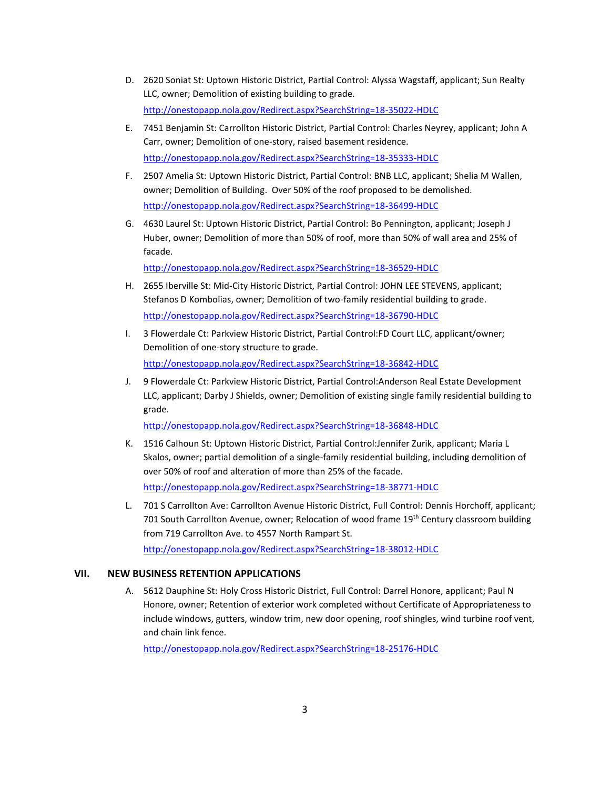- D. 2620 Soniat St: Uptown Historic District, Partial Control: Alyssa Wagstaff, applicant; Sun Realty LLC, owner; Demolition of existing building to grade. <http://onestopapp.nola.gov/Redirect.aspx?SearchString=18-35022-HDLC>
- E. 7451 Benjamin St: Carrollton Historic District, Partial Control: Charles Neyrey, applicant; John A Carr, owner; Demolition of one-story, raised basement residence. <http://onestopapp.nola.gov/Redirect.aspx?SearchString=18-35333-HDLC>
- F. 2507 Amelia St: Uptown Historic District, Partial Control: BNB LLC, applicant; Shelia M Wallen, owner; Demolition of Building. Over 50% of the roof proposed to be demolished. <http://onestopapp.nola.gov/Redirect.aspx?SearchString=18-36499-HDLC>
- G. 4630 Laurel St: Uptown Historic District, Partial Control: Bo Pennington, applicant; Joseph J Huber, owner; Demolition of more than 50% of roof, more than 50% of wall area and 25% of facade.

<http://onestopapp.nola.gov/Redirect.aspx?SearchString=18-36529-HDLC>

- H. 2655 Iberville St: Mid-City Historic District, Partial Control: JOHN LEE STEVENS, applicant; Stefanos D Kombolias, owner; Demolition of two-family residential building to grade. <http://onestopapp.nola.gov/Redirect.aspx?SearchString=18-36790-HDLC>
- I. 3 Flowerdale Ct: Parkview Historic District, Partial Control:FD Court LLC, applicant/owner; Demolition of one-story structure to grade. <http://onestopapp.nola.gov/Redirect.aspx?SearchString=18-36842-HDLC>
- J. 9 Flowerdale Ct: Parkview Historic District, Partial Control:Anderson Real Estate Development LLC, applicant; Darby J Shields, owner; Demolition of existing single family residential building to grade.

<http://onestopapp.nola.gov/Redirect.aspx?SearchString=18-36848-HDLC>

K. 1516 Calhoun St: Uptown Historic District, Partial Control:Jennifer Zurik, applicant; Maria L Skalos, owner; partial demolition of a single-family residential building, including demolition of over 50% of roof and alteration of more than 25% of the facade.

<http://onestopapp.nola.gov/Redirect.aspx?SearchString=18-38771-HDLC>

L. 701 S Carrollton Ave: Carrollton Avenue Historic District, Full Control: Dennis Horchoff, applicant; 701 South Carrollton Avenue, owner; Relocation of wood frame 19<sup>th</sup> Century classroom building from 719 Carrollton Ave. to 4557 North Rampart St.

<http://onestopapp.nola.gov/Redirect.aspx?SearchString=18-38012-HDLC>

#### **VII. NEW BUSINESS RETENTION APPLICATIONS**

A. 5612 Dauphine St: Holy Cross Historic District, Full Control: Darrel Honore, applicant; Paul N Honore, owner; Retention of exterior work completed without Certificate of Appropriateness to include windows, gutters, window trim, new door opening, roof shingles, wind turbine roof vent, and chain link fence.

<http://onestopapp.nola.gov/Redirect.aspx?SearchString=18-25176-HDLC>